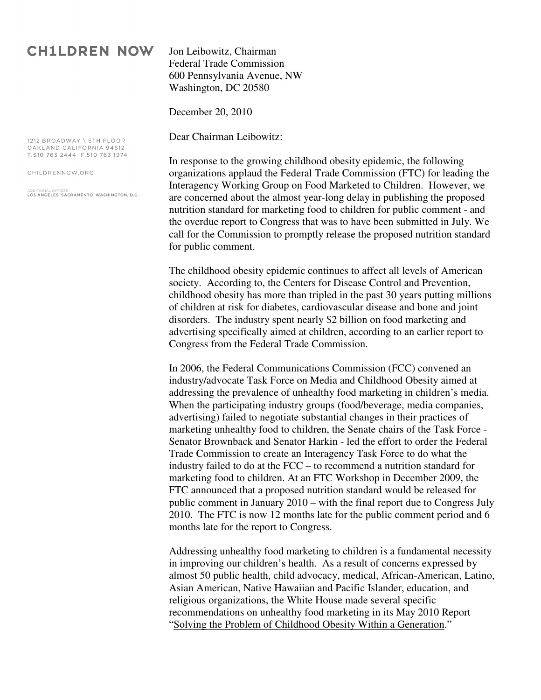## **CH1LDREN NOW**

Jon Leibowitz, Chairman Federal Trade Commission 600 Pennsylvania Avenue, NW Washington, DC 20580

December 20, 2010

Dear Chairman Leibowitz:

1212 BROADWAY \ 5TH FLOOR OAKLAND CALIFORNIA 94612 T.510 763 2444 F.510 763 1974

CHILDRENNOW.ORG

LOS ANGELES SACRAMENTO WASHINGTON, D.C.

In response to the growing childhood obesity epidemic, the following organizations applaud the Federal Trade Commission (FTC) for leading the Interagency Working Group on Food Marketed to Children. However, we are concerned about the almost year-long delay in publishing the proposed nutrition standard for marketing food to children for public comment - and the overdue report to Congress that was to have been submitted in July. We call for the Commission to promptly release the proposed nutrition standard for public comment.

The childhood obesity epidemic continues to affect all levels of American society. According to, the Centers for Disease Control and Prevention, childhood obesity has more than tripled in the past 30 years putting millions of children at risk for diabetes, cardiovascular disease and bone and joint disorders. The industry spent nearly \$2 billion on food marketing and advertising specifically aimed at children, according to an earlier report to Congress from the Federal Trade Commission.

In 2006, the Federal Communications Commission (FCC) convened an industry/advocate Task Force on Media and Childhood Obesity aimed at addressing the prevalence of unhealthy food marketing in children's media. When the participating industry groups (food/beverage, media companies, advertising) failed to negotiate substantial changes in their practices of marketing unhealthy food to children, the Senate chairs of the Task Force - Senator Brownback and Senator Harkin - led the effort to order the Federal Trade Commission to create an Interagency Task Force to do what the industry failed to do at the FCC – to recommend a nutrition standard for marketing food to children. At an FTC Workshop in December 2009, the FTC announced that a proposed nutrition standard would be released for public comment in January 2010 – with the final report due to Congress July 2010. The FTC is now 12 months late for the public comment period and 6 months late for the report to Congress.

Addressing unhealthy food marketing to children is a fundamental necessity in improving our children's health. As a result of concerns expressed by almost 50 public health, child advocacy, medical, African-American, Latino, Asian American, Native Hawaiian and Pacific Islander, education, and religious organizations, the White House made several specific recommendations on unhealthy food marketing in its May 2010 Report "Solving the Problem of Childhood Obesity Within a Generation."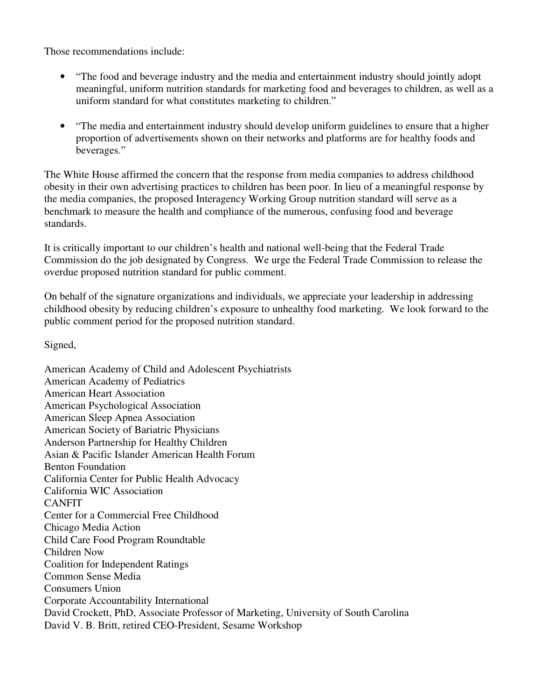Those recommendations include:

- "The food and beverage industry and the media and entertainment industry should jointly adopt meaningful, uniform nutrition standards for marketing food and beverages to children, as well as a uniform standard for what constitutes marketing to children."
- "The media and entertainment industry should develop uniform guidelines to ensure that a higher proportion of advertisements shown on their networks and platforms are for healthy foods and beverages."

The White House affirmed the concern that the response from media companies to address childhood obesity in their own advertising practices to children has been poor. In lieu of a meaningful response by the media companies, the proposed Interagency Working Group nutrition standard will serve as a benchmark to measure the health and compliance of the numerous, confusing food and beverage standards.

It is critically important to our children's health and national well-being that the Federal Trade Commission do the job designated by Congress. We urge the Federal Trade Commission to release the overdue proposed nutrition standard for public comment.

On behalf of the signature organizations and individuals, we appreciate your leadership in addressing childhood obesity by reducing children's exposure to unhealthy food marketing. We look forward to the public comment period for the proposed nutrition standard.

Signed,

American Academy of Child and Adolescent Psychiatrists American Academy of Pediatrics American Heart Association American Psychological Association American Sleep Apnea Association American Society of Bariatric Physicians Anderson Partnership for Healthy Children Asian & Pacific Islander American Health Forum Benton Foundation California Center for Public Health Advocacy California WIC Association **CANFIT** Center for a Commercial Free Childhood Chicago Media Action Child Care Food Program Roundtable Children Now Coalition for Independent Ratings Common Sense Media Consumers Union Corporate Accountability International David Crockett, PhD, Associate Professor of Marketing, University of South Carolina David V. B. Britt, retired CEO-President, Sesame Workshop